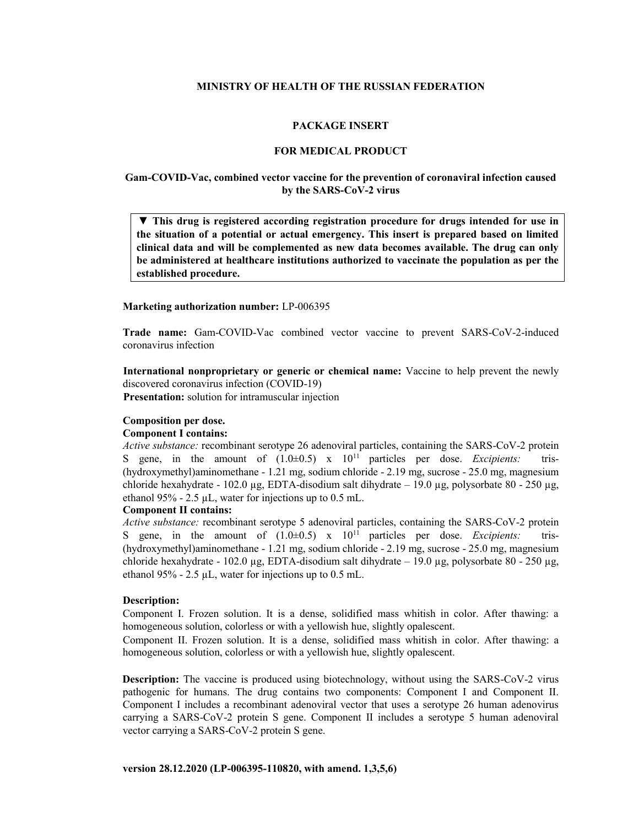## **MINISTRY OF HEALTH OF THE RUSSIAN FEDERATION**

## **PACKAGE INSERT**

#### **FOR MEDICAL PRODUCT**

# **Gam-COVID-Vac, combined vector vaccine for the prevention of coronaviral infection caused by the SARS-СoV-2 virus**

▼ **This drug is registered according registration procedure for drugs intended for use in the situation of a potential or actual emergency. This insert is prepared based on limited clinical data and will be complemented as new data becomes available. The drug can only be administered at healthcare institutions authorized to vaccinate the population as per the established procedure.**

#### **Marketing authorization number:** LP-006395

**Trade name:** Gam-COVID-Vac combined vector vaccine to prevent SARS-CoV-2-induced coronavirus infection

**International nonproprietary or generic or chemical name:** Vaccine to help prevent the newly discovered coronavirus infection (COVID-19)

**Presentation:** solution for intramuscular injection

## **Composition per dose.**

# **Component I contains:**

*Active substance:* recombinant serotype 26 adenoviral particles, containing the SARS-CoV-2 protein S gene, in the amount of  $(1.0\pm0.5)$  x  $10^{11}$  particles per dose. *Excipients:* tris-(hydroxymethyl)aminomethane - 1.21 mg, sodium chloride - 2.19 mg, sucrose - 25.0 mg, magnesium chloride hexahydrate - 102.0 µg, EDTA-disodium salt dihydrate  $- 19.0$  µg, polysorbate 80 - 250 µg, ethanol 95% - 2.5 µL, water for injections up to 0.5 mL.

# **Component II contains:**

*Active substance:* recombinant serotype 5 adenoviral particles, containing the SARS-CoV-2 protein S gene, in the amount of  $(1.0\pm0.5)$  x  $10^{11}$  particles per dose. *Excipients*: tris-(hydroxymethyl)aminomethane - 1.21 mg, sodium chloride - 2.19 mg, sucrose - 25.0 mg, magnesium chloride hexahydrate - 102.0 µg, EDTA-disodium salt dihydrate – 19.0 µg, polysorbate 80 - 250 µg, ethanol 95% - 2.5  $\mu$ L, water for injections up to 0.5 mL.

#### **Description:**

Component I. Frozen solution. It is a dense, solidified mass whitish in color. After thawing: a homogeneous solution, colorless or with a yellowish hue, slightly opalescent.

Component II. Frozen solution. It is a dense, solidified mass whitish in color. After thawing: a homogeneous solution, colorless or with a yellowish hue, slightly opalescent.

**Description:** The vaccine is produced using biotechnology, without using the SARS-CoV-2 virus pathogenic for humans. The drug contains two components: Component I and Component II. Component I includes a recombinant adenoviral vector that uses a serotype 26 human adenovirus carrying a SARS-CoV-2 protein S gene. Component II includes a serotype 5 human adenoviral vector carrying a SARS-CoV-2 protein S gene.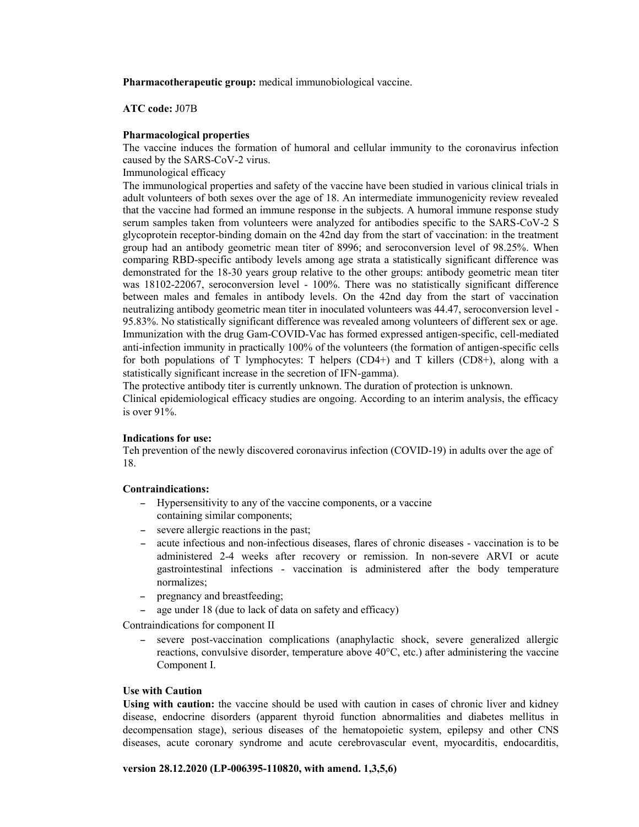**Pharmacotherapeutic group:** medical immunobiological vaccine.

**ATC code:** J07B

# **Pharmacological properties**

The vaccine induces the formation of humoral and cellular immunity to the coronavirus infection caused by the SARS-CoV-2 virus.

Immunological efficacy

The immunological properties and safety of the vaccine have been studied in various clinical trials in adult volunteers of both sexes over the age of 18. An intermediate immunogenicity review revealed that the vaccine had formed an immune response in the subjects. A humoral immune response study serum samples taken from volunteers were analyzed for antibodies specific to the SARS-CoV-2 S glycoprotein receptor-binding domain on the 42nd day from the start of vaccination: in the treatment group had an antibody geometric mean titer of 8996; and seroconversion level of 98.25%. When comparing RBD-specific antibody levels among age strata a statistically significant difference was demonstrated for the 18-30 years group relative to the other groups: antibody geometric mean titer was 18102-22067, seroconversion level - 100%. There was no statistically significant difference between males and females in antibody levels. On the 42nd day from the start of vaccination neutralizing antibody geometric mean titer in inoculated volunteers was 44.47, seroconversion level - 95.83%. No statistically significant difference was revealed among volunteers of different sex or age. Immunization with the drug Gam-COVID-Vac has formed expressed antigen-specific, cell-mediated anti-infection immunity in practically 100% of the volunteers (the formation of antigen-specific cells for both populations of T lymphocytes: T helpers  $(CD4+)$  and T killers  $(CD8+)$ , along with a statistically significant increase in the secretion of IFN-gamma).

The protective antibody titer is currently unknown. The duration of protection is unknown. Clinical epidemiological efficacy studies are ongoing. According to an interim analysis, the efficacy is over 91%.

## **Indications for use:**

Teh prevention of the newly discovered coronavirus infection (COVID-19) in adults over the age of 18.

# **Contraindications:**

- Hypersensitivity to any of the vaccine components, or a vaccine containing similar components;
- severe allergic reactions in the past;
- acute infectious and non-infectious diseases, flares of chronic diseases vaccination is to be administered 2-4 weeks after recovery or remission. In non-severe ARVI or acute gastrointestinal infections - vaccination is administered after the body temperature normalizes;
- pregnancy and breastfeeding;
- age under 18 (due to lack of data on safety and efficacy)

Contraindications for component II

- severe post-vaccination complications (anaphylactic shock, severe generalized allergic reactions, convulsive disorder, temperature above 40°C, etc.) after administering the vaccine Component I.

# **Use with Caution**

**Using with caution:** the vaccine should be used with caution in cases of chronic liver and kidney disease, endocrine disorders (apparent thyroid function abnormalities and diabetes mellitus in decompensation stage), serious diseases of the hematopoietic system, epilepsy and other CNS diseases, acute coronary syndrome and acute cerebrovascular event, myocarditis, endocarditis,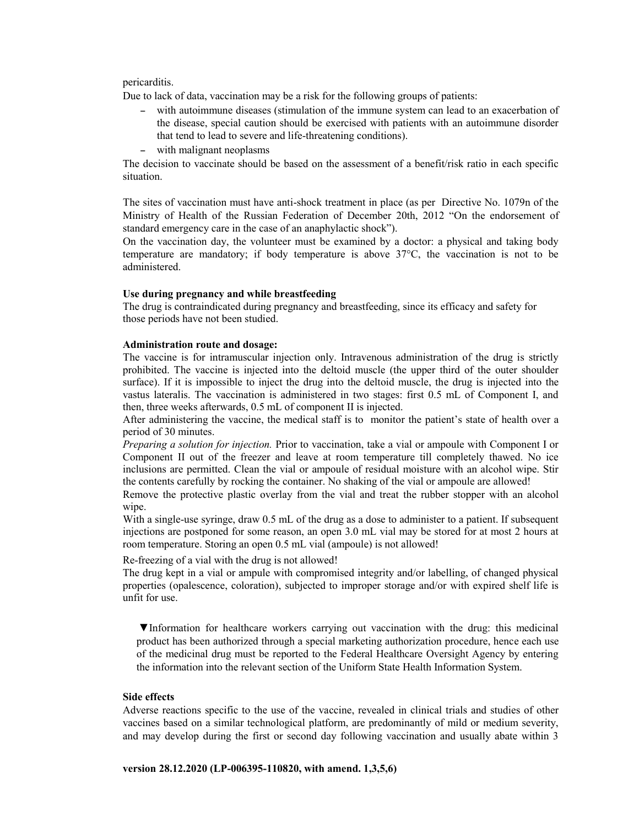## pericarditis.

Due to lack of data, vaccination may be a risk for the following groups of patients:

- with autoimmune diseases (stimulation of the immune system can lead to an exacerbation of the disease, special caution should be exercised with patients with an autoimmune disorder that tend to lead to severe and life-threatening conditions).
- with malignant neoplasms

The decision to vaccinate should be based on the assessment of a benefit/risk ratio in each specific situation.

The sites of vaccination must have anti-shock treatment in place (as per Directive No. 1079n of the Ministry of Health of the Russian Federation of December 20th, 2012 "On the endorsement of standard emergency care in the case of an anaphylactic shock").

On the vaccination day, the volunteer must be examined by a doctor: a physical and taking body temperature are mandatory; if body temperature is above 37°С, the vaccination is not to be administered.

# **Use during pregnancy and while breastfeeding**

The drug is contraindicated during pregnancy and breastfeeding, since its efficacy and safety for those periods have not been studied.

# **Administration route and dosage:**

The vaccine is for intramuscular injection only. Intravenous administration of the drug is strictly prohibited. The vaccine is injected into the deltoid muscle (the upper third of the outer shoulder surface). If it is impossible to inject the drug into the deltoid muscle, the drug is injected into the vastus lateralis. The vaccination is administered in two stages: first 0.5 mL of Component I, and then, three weeks afterwards, 0.5 mL of component II is injected.

After administering the vaccine, the medical staff is to monitor the patient's state of health over a period of 30 minutes.

*Preparing a solution for injection.* Prior to vaccination, take a vial or ampoule with Component I or Component II out of the freezer and leave at room temperature till completely thawed. No ice inclusions are permitted. Clean the vial or ampoule of residual moisture with an alcohol wipe. Stir the contents carefully by rocking the container. No shaking of the vial or ampoule are allowed!

Remove the protective plastic overlay from the vial and treat the rubber stopper with an alcohol wipe.

With a single-use syringe, draw 0.5 mL of the drug as a dose to administer to a patient. If subsequent injections are postponed for some reason, an open 3.0 mL vial may be stored for at most 2 hours at room temperature. Storing an open 0.5 mL vial (ampoule) is not allowed!

Re-freezing of a vial with the drug is not allowed!

The drug kept in a vial or ampule with compromised integrity and/or labelling, of changed physical properties (opalescence, coloration), subjected to improper storage and/or with expired shelf life is unfit for use.

▼Information for healthcare workers carrying out vaccination with the drug: this medicinal product has been authorized through a special marketing authorization procedure, hence each use of the medicinal drug must be reported to the Federal Healthcare Oversight Agency by entering the information into the relevant section of the Uniform State Health Information System.

# **Side effects**

Adverse reactions specific to the use of the vaccine, revealed in clinical trials and studies of other vaccines based on a similar technological platform, are predominantly of mild or medium severity, and may develop during the first or second day following vaccination and usually abate within 3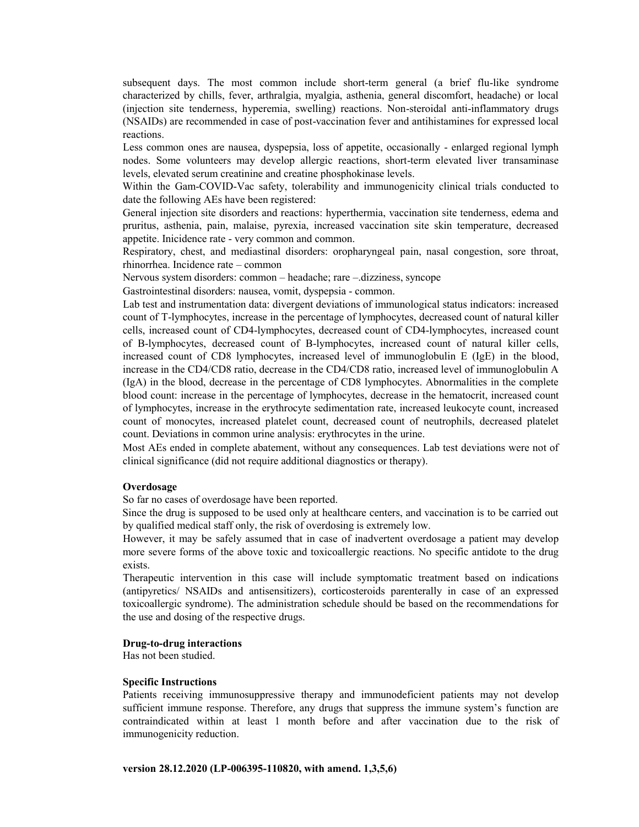subsequent days. The most common include short-term general (a brief flu-like syndrome characterized by chills, fever, arthralgia, myalgia, asthenia, general discomfort, headache) or local (injection site tenderness, hyperemia, swelling) reactions. Non-steroidal anti-inflammatory drugs (NSAIDs) are recommended in case of post-vaccination fever and antihistamines for expressed local reactions.

Less common ones are nausea, dyspepsia, loss of appetite, occasionally - enlarged regional lymph nodes. Some volunteers may develop allergic reactions, short-term elevated liver transaminase levels, elevated serum creatinine and creatine phosphokinase levels.

Within the Gam-COVID-Vac safety, tolerability and immunogenicity clinical trials conducted to date the following AEs have been registered:

General injection site disorders and reactions: hyperthermia, vaccination site tenderness, edema and pruritus, asthenia, pain, malaise, pyrexia, increased vaccination site skin temperature, decreased appetite. Inicidence rate - very common and common.

Respiratory, chest, and mediastinal disorders: oropharyngeal pain, nasal congestion, sore throat, rhinorrhea. Incidence rate – common

Nervous system disorders: common – headache; rare –.dizziness, syncope

Gastrointestinal disorders: nausea, vomit, dyspepsia - common.

Lab test and instrumentation data: divergent deviations of immunological status indicators: increased count of T-lymphocytes, increase in the percentage of lymphocytes, decreased count of natural killer cells, increased count of CD4-lymphocytes, decreased count of CD4-lymphocytes, increased count of B-lymphocytes, decreased count of B-lymphocytes, increased count of natural killer cells, increased count of CD8 lymphocytes, increased level of immunoglobulin E (IgE) in the blood, increase in the CD4/CD8 ratio, decrease in the CD4/CD8 ratio, increased level of immunoglobulin A (IgA) in the blood, decrease in the percentage of CD8 lymphocytes. Abnormalities in the complete blood count: increase in the percentage of lymphocytes, decrease in the hematocrit, increased count of lymphocytes, increase in the erythrocyte sedimentation rate, increased leukocyte count, increased count of monocytes, increased platelet count, decreased count of neutrophils, decreased platelet count. Deviations in common urine analysis: erythrocytes in the urine.

Most AEs ended in complete abatement, without any consequences. Lab test deviations were not of clinical significance (did not require additional diagnostics or therapy).

#### **Overdosage**

So far no cases of overdosage have been reported.

Since the drug is supposed to be used only at healthcare centers, and vaccination is to be carried out by qualified medical staff only, the risk of overdosing is extremely low.

However, it may be safely assumed that in case of inadvertent overdosage a patient may develop more severe forms of the above toxic and toxicoallergic reactions. No specific antidote to the drug exists.

Therapeutic intervention in this case will include symptomatic treatment based on indications (antipyretics/ NSAIDs and antisensitizers), corticosteroids parenterally in case of an expressed toxicoallergic syndrome). The administration schedule should be based on the recommendations for the use and dosing of the respective drugs.

# **Drug-to-drug interactions**

Has not been studied.

#### **Specific Instructions**

Patients receiving immunosuppressive therapy and immunodeficient patients may not develop sufficient immune response. Therefore, any drugs that suppress the immune system's function are contraindicated within at least 1 month before and after vaccination due to the risk of immunogenicity reduction.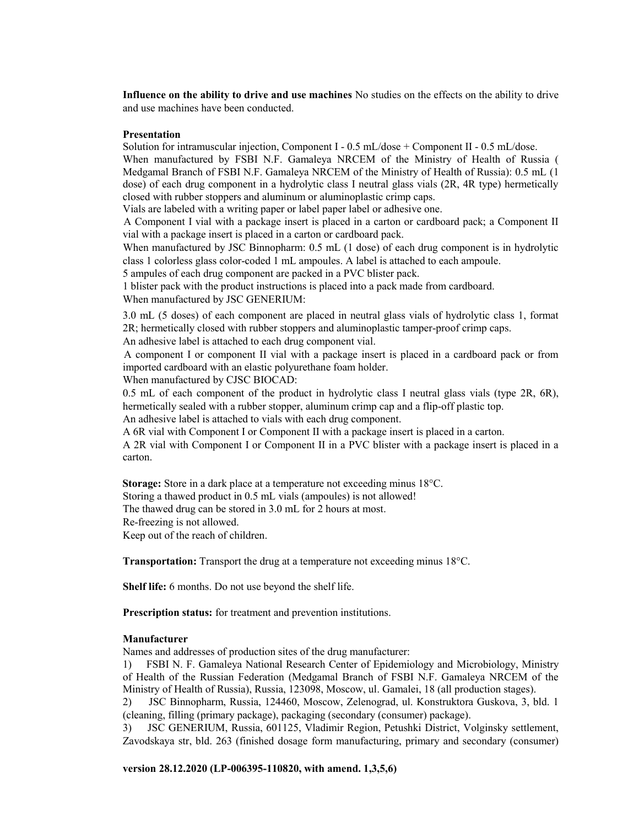**Influence on the ability to drive and use machines** No studies on the effects on the ability to drive and use machines have been conducted.

# **Presentation**

Solution for intramuscular injection, Component I - 0.5 mL/dose + Component II - 0.5 mL/dose. When manufactured by FSBI N.F. Gamaleya NRCEM of the Ministry of Health of Russia ( Medgamal Branch of FSBI N.F. Gamaleya NRCEM of the Ministry of Health of Russia): 0.5 mL (1 dose) of each drug component in a hydrolytic class I neutral glass vials (2R, 4R type) hermetically closed with rubber stoppers and aluminum or aluminoplastic crimp caps.

Vials are labeled with a writing paper or label paper label or adhesive one.

A Component I vial with a package insert is placed in a carton or cardboard pack; a Component II vial with a package insert is placed in a carton or cardboard pack.

When manufactured by JSC Binnopharm: 0.5 mL (1 dose) of each drug component is in hydrolytic class 1 colorless glass color-coded 1 mL ampoules. A label is attached to each ampoule.

5 ampules of each drug component are packed in a PVC blister pack.

1 blister pack with the product instructions is placed into a pack made from cardboard. When manufactured by JSC GENERIUM:

3.0 mL (5 doses) of each component are placed in neutral glass vials of hydrolytic class 1, format 2R; hermetically closed with rubber stoppers and aluminoplastic tamper-proof crimp caps.

An adhesive label is attached to each drug component vial.

A component I or component II vial with a package insert is placed in a cardboard pack or from imported cardboard with an elastic polyurethane foam holder.

When manufactured by CJSC BIOCAD:

0.5 mL of each component of the product in hydrolytic class I neutral glass vials (type 2R, 6R), hermetically sealed with a rubber stopper, aluminum crimp cap and a flip-off plastic top.

An adhesive label is attached to vials with each drug component.

A 6R vial with Component I or Component II with a package insert is placed in a carton.

A 2R vial with Component I or Component II in a PVC blister with a package insert is placed in a carton.

**Storage:** Store in a dark place at a temperature not exceeding minus 18°C. Storing a thawed product in 0.5 mL vials (ampoules) is not allowed! The thawed drug can be stored in 3.0 mL for 2 hours at most. Re-freezing is not allowed.

Keep out of the reach of children.

**Transportation:** Transport the drug at a temperature not exceeding minus 18°C.

**Shelf life:** 6 months. Do not use beyond the shelf life.

**Prescription status:** for treatment and prevention institutions.

#### **Manufacturer**

Names and addresses of production sites of the drug manufacturer:

1) FSBI N. F. Gamaleya National Research Center of Epidemiology and Microbiology, Ministry of Health of the Russian Federation (Medgamal Branch of FSBI N.F. Gamaleya NRCEM of the Ministry of Health of Russia), Russia, 123098, Moscow, ul. Gamalei, 18 (all production stages).

2) JSC Binnopharm, Russia, 124460, Moscow, Zelenograd, ul. Konstruktora Guskova, 3, bld. 1 (cleaning, filling (primary package), packaging (secondary (consumer) package).

3) JSC GENERIUM, Russia, 601125, Vladimir Region, Petushki District, Volginsky settlement, Zavodskaya str, bld. 263 (finished dosage form manufacturing, primary and secondary (consumer)